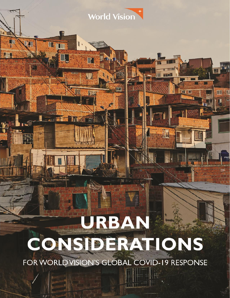# **URBAN CONSIDERATIONS**

World Vision

**The Time** 

Hiiiil

**THE** 

**TIV ENT** 

m

 $\blacksquare$ 

 $\mathsf{\Gamma}$ 

**KILL** 

H

III

**CK** 

町里

 $\frac{1}{2}$ 

田町

FOR WORLD VISION'S GLOBAL COVID-19 RESPONSE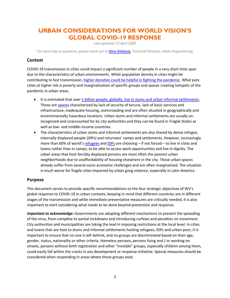# **URBAN CONSIDERATIONS FOR WORLD VISION'S GLOBAL COVID-19 RESPONSE**

*Last updated: 22 April 2020*

*For more info or questions, please reach out to [Aline Rahbany,](mailto:aline_rahbany@wvi.org) Technical Director, Urban Programming*

# **Context**

COVID-19 transmission in cities could impact a significant number of people in a very short time span due to the characteristics of urban environments. While population density in cities might be contributing to fast transmission, [higher densities could be helpful in fighting the pandemic.](https://blogs.worldbank.org/sustainablecities/urban-density-not-enemy-coronavirus-fight-evidence-china?CID=WBW_AL_BlogNotification_EN_EXT) What puts cities at higher risk is poverty and marginalization of specific groups and spaces creating hotspots of the pandemic in urban areas.

- It is estimated that over 1 billion people, globally, live in slums and [urban informal settlements.](https://www.habitatireland.ie/2018/01/1-billion-people-live-slums/) Those are [spaces](http://habitat3.org/wp-content/uploads/Habitat-III-Issue-Paper-22_Informal-Settlements-2.0.pdf) characterized by lack of security of tenure, lack of basic services and infrastructure, inadequate housing, overcrowding and are often situated in geographically and environmentally hazardous locations. Urban slums and informal settlements are usually unrecognized and unaccounted for by city authorities and they can be found in Fragile States as well as low- and middle-income countries.
- The characteristics of urban slums and informal settlements are also shared by dense refugee, internally displaced people (IDPs) and returnees' camps and settlements. However, increasingly more than 60% of world's [refugees](https://www.american.edu/sis/news/20200415-how-refugees-are-especially-vulnerable-to-covid-19.cfm) and [IDPs](https://www.internal-displacement.org/research-areas/urban-displacement) are choosing – if not forced – to live in cities and towns rather than in camps; to be able to access work opportunities and live in dignity. The urban areas that host forcibly displaced persons are most often the poorest urban neighborhoods due to unaffordability of housing elsewhere in the city. Those urban spaces already suffer from several socio-economic challenges and are often marginalized. The situation is much worse for fragile cities impacted by urban gang violence, especially in Latin America.

### **Purpose**

This document serves to provide specific recommendations to the four strategic objectives of WV's global response to COVID-19 in urban contexts; keeping in mind that different countries are in different stages of the transmission and while immediate preventative measures are critically needed, it is also important to start considering what needs to be done beyond prevention and response.

*Important to acknowledge:* Governments are adopting different mechanisms to prevent the spreading of the virus, from complete to partial lockdowns and introducing curfews and penalties on movement. City authorities and municipalities are taking the lead in imposing restrictions at the local level. In cities and towns that are host to slums and informal settlements hosting refugees, IDPs and urban poor, it is important to ensure that no-one is left behind, and no groups are discriminated based on their age, gender, status, nationality or other criteria. Homeless persons, persons living and / or working on streets, persons without birth registration and other "invisible" groups, especially children among them, could easily fall within the cracks in any development or response initiative. Special measures should be considered when responding in areas where those groups exist.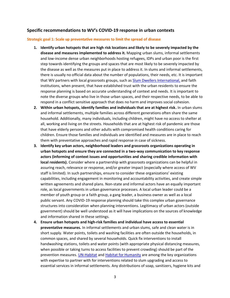## **Specific recommendations to WV's COVID-19 response in urban contexts**

#### **Strategic goal 1: Scale up preventative measures to limit the spread of disease**

- **1. Identify urban hotspots that are high risk locations and likely to be severely impacted by the disease and measures implemented to address it.** Mapping urban slums, informal settlements and low-income dense urban neighborhoods hosting refugees, IDPs and urban poor is the first step towards identifying the groups and spaces that are most likely to be severely impacted by the disease as well as the measures put in place to address it. In slums and informal settlements, there is usually no official data about the number of populations, their needs, etc. It is important that WV partners with local grassroots groups, such as [Slum Dwellers International,](http://skoll.org/organization/slum-dwellers-international/) and faith institutions, when present, that have established trust with the urban residents to ensure the response planning is based on accurate understanding of context and needs. It is important to note the diverse groups who live in those urban spaces, and their respective needs, to be able to respond in a conflict sensitive approach that does no harm and improves social cohesion.
- **2. Within urban hotspots, identify families and individuals that are at highest risk.** In urban slums and informal settlements, multiple families across different generations often share the same household. Additionally, many individuals, including children, might have no access to shelter at all, working and living on the streets. Households that are at highest risk of pandemic are those that have elderly persons and other adults with compromised health conditions caring for children. Ensure those families and individuals are identified and measures are in place to reach them with preventative approaches and rapid response in case of sickness.
- **3. Identify key urban actors, neighborhood leaders and grassroots organizations operating in urban hotspots and ensure they are connected in a two-way communication to key response actors (informing of context issues and opportunities and sharing credible information with local residents).** Consider where a partnership with grassroots organizations can be helpful in assuring reach, relevance or response, and/or greater impact (especially where access of WV staff is limited). In such partnerships, ensure to consider these organizations' existing capabilities, including engagement in monitoring and accountability activities, and create simple written agreements and shared plans. Non-state and informal actors have an equally important role, as local governments in urban governance processes. A local urban leader could be a member of youth group or a faith group, a gang leader, a business owner as well as a local public servant. Any COVID-19 response planning should take this complex urban governance structures into consideration when planning interventions. Legitimacy of urban actors (outside government) should be well understood as it will have implications on the sources of knowledge and information shared in these settings.
- **4. Ensure urban hotspots and high-risk families and individual have access to essential preventative measures.** In informal settlements and urban slums, safe and clean water is in short supply. Water points, toilets and washing facilities are often outside the households, in common spaces, and shared by several households. Quick fix interventions to install handwashing stations, toilets and water points (with appropriate physical distancing measures, when possible or taking turns to access facilities to prevent crowding) should be part of the prevention measures. [UN-Habitat](https://unhabitat.org/a-practical-guide-to-designing-planning-and-executing-citywide-slum-upgrading-programmes) and [Habitat for Humanity](https://www.habitat.org/sites/default/files/documents/solid-ground_slum_upgrading_issue_brief.pdf) are among the key organizations with expertise to partner with for interventions related to slum upgrading and access to essential services in informal settlements. Any distributions of soap, sanitizers, hygiene kits and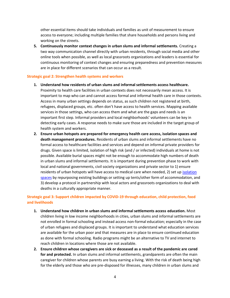other essential items should take individuals and families as unit of measurement to ensure access to everyone; including multiple families that share households and persons living and working on the streets.

**5. Continuously monitor context changes in urban slums and informal settlements.** Creating a two way communication channel directly with urban residents, through social media and other online tools when possible, as well as local grassroots organizations and leaders is essential for continuous monitoring of context changes and ensuring preparedness and prevention measures are in place for different scenarios that can occur as a result.

#### **Strategic goal 2: Strengthen health systems and workers**

- **1. Understand how residents of urban slums and informal settlements access healthcare.**  Proximity to health care facilities in urban contexts does not necessarily mean access. It is important to map who can and cannot access formal and informal health care in those contexts. Access in many urban settings depends on status, as such children not registered at birth, refugees, displaced groups, etc. often don't have access to health services. Mapping available services in those settings, who can access them and what are the gaps and needs is an important first step. Informal providers and local neighborhoods' volunteers can be key in detecting early cases. A response needs to make sure those are included in the target group of health system and workers.
- **2. Ensure urban hotspots are prepared for emergency health care access, isolation spaces and death management procedures.** Residents of urban slums and informal settlements have no formal access to healthcare facilities and services and depend on informal private providers for drugs. Given space is limited, isolation of high risk (and / or infected) individuals at home is not possible. Available burial spaces might not be enough to accommodate high numbers of death in urban slums and informal settlements. It is important during prevention phase to work with local and national governments, civil society organizations and private sector to 1) ensure residents of urban hotspots will have access to medical care when needed, 2) set up [isolation](https://www.refugees-lebanon.org/uploads/poster/poster_158584345053.pdf)  [spaces](https://www.refugees-lebanon.org/uploads/poster/poster_158584345053.pdf) by repurposing existing buildings or setting up tents/other form of accommodation, and 3) develop a protocol in partnership with local actors and grassroots organizations to deal with deaths in a culturally appropriate manner.

# **Strategic goal 3: Support children impacted by COVID-19 through education, child protection, food and livelihoods**

- **1. Understand how children in urban slums and informal settlements access education.** Most children living in low income neighborhoods in cities, urban slums and informal settlements are not enrolled in formal schooling and instead access non-formal education; especially in the case of urban refugees and displaced groups. It is important to understand what education services are available for the urban poor and that measures are in place to ensure continued education as done with formal schooling. Radio programs might be an alternative to TV and internet to reach children in locations where those are not available.
- **2. Ensure children whose caregivers are sick or deceased as a result of the pandemic are cared for and protected.** In urban slums and informal settlements, grandparents are often the main caregiver for children whose parents are busy earning a living. With the risk of death being high for the elderly and those who are pre-disposed for illnesses, many children in urban slums and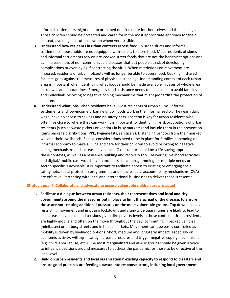informal settlements might end up orphaned or left to care for themselves and their siblings. Those children should be protected and cared for in the most appropriate approach for their context; avoiding institutionalization whenever possible.

- **3. Understand how residents in urban contexts access food.** In urban slums and informal settlements, households are not equipped with spaces to store food. Most residents of slums and informal settlements rely on pre-cooked street foods that are not the healthiest options and can increase risks of non-communicable diseases that put people at risk of developing complications or even dying if contracting the virus. When restrictions on movement are imposed, residents of urban hotspots will no longer be able to access food. Cooking in shared facilities goes against the measures of physical distancing. Understanding context of each urban area is important when identifying what foods should be made available in cases of whole-area lockdowns and quarantines. Emergency food assistance needs to be in place to avoid families and individuals resorting to negative coping mechanisms that might jeopardize the protection of children.
- **4. Understand what jobs urban residents have.** Most residents of urban slums, informal settlements and low-income urban neighborhoods work in the informal sector. They earn daily wage, have no access to savings and no safety nets. Location is key for urban residents who often live close to where they can work. It is important to identify high-risk occupations of urban residents (such as waste pickers or vendors in busy markets) and include them in the prevention items package distributions (PPE, hygiene kits, sanitizers). Distancing vendors from their market will end their livelihoods. Special considerations need to be in place for families depending on informal economy to make a living and care for their children to avoid resorting to negative coping mechanisms and increase in violence. Cash support could be a life-saving approach in these contexts, as well as a resilience building and recovery tool. Delivering livelihood activities and digital/ mobile cash/voucher/ financial assistance programming for multiple needs or sector-specific is advisable. It is important to facilitate access to existing or emerging social safety nets, social protection programmes, and ensure social accountability mechanisms (CVA) are effective. Partnering with local and international businesses to deliver these is essential.

#### **Strategic goal 4: Collaborate and advocate to ensure vulnerable children are protected**

- **1. Facilitate a dialogue between urban residents, their representatives and local and city governments around the measures put in place to limit the spread of the disease, to ensure those are not creating additional pressures on the most vulnerable groups.** Top down policies restricting movement and imposing lockdowns and slum-wide quarantines are likely to lead to an increase in violence and tensions given dire poverty levels in those contexts. Urban residents are highly mobile and often on the move throughout the day, commuting in packed vehicles (minibuses) or on busy streets and in hectic markets. Movement can't be easily controlled as mobility is driven by livelihood options. Short, medium and long-term impact, especially on economic activity, will significantly increase pressures and trigger negative coping mechanisms (e.g. child labor, abuse, etc.). The most marginalized and at-risk groups should be given a voice to influence decisions around measures to address the pandemic for those to be effective at the local level.
- **2. Build on urban residents and local organizations' existing capacity to respond to disasters and ensure good practices are feeding upward into response actors, including local government**